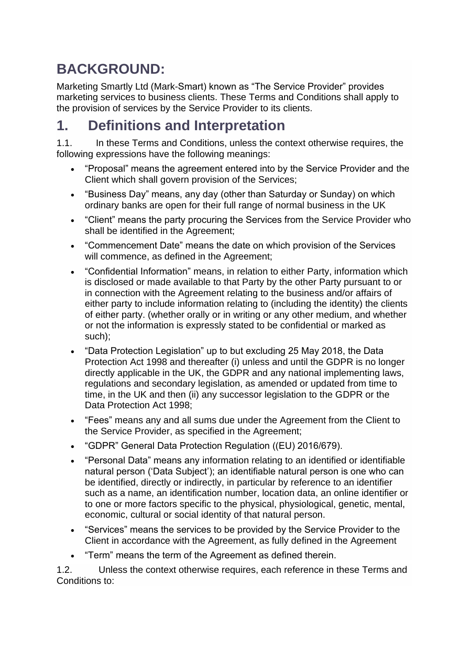## **BACKGROUND:**

Marketing Smartly Ltd (Mark-Smart) known as "The Service Provider" provides marketing services to business clients. These Terms and Conditions shall apply to the provision of services by the Service Provider to its clients.

## **1. Definitions and Interpretation**

1.1. In these Terms and Conditions, unless the context otherwise requires, the following expressions have the following meanings:

- "Proposal" means the agreement entered into by the Service Provider and the Client which shall govern provision of the Services;
- "Business Day" means, any day (other than Saturday or Sunday) on which ordinary banks are open for their full range of normal business in the UK
- "Client" means the party procuring the Services from the Service Provider who shall be identified in the Agreement;
- "Commencement Date" means the date on which provision of the Services will commence, as defined in the Agreement;
- "Confidential Information" means, in relation to either Party, information which is disclosed or made available to that Party by the other Party pursuant to or in connection with the Agreement relating to the business and/or affairs of either party to include information relating to (including the identity) the clients of either party. (whether orally or in writing or any other medium, and whether or not the information is expressly stated to be confidential or marked as such);
- "Data Protection Legislation" up to but excluding 25 May 2018, the Data Protection Act 1998 and thereafter (i) unless and until the GDPR is no longer directly applicable in the UK, the GDPR and any national implementing laws, regulations and secondary legislation, as amended or updated from time to time, in the UK and then (ii) any successor legislation to the GDPR or the Data Protection Act 1998;
- "Fees" means any and all sums due under the Agreement from the Client to the Service Provider, as specified in the Agreement;
- "GDPR" General Data Protection Regulation ((EU) 2016/679).
- "Personal Data" means any information relating to an identified or identifiable natural person ('Data Subject'); an identifiable natural person is one who can be identified, directly or indirectly, in particular by reference to an identifier such as a name, an identification number, location data, an online identifier or to one or more factors specific to the physical, physiological, genetic, mental, economic, cultural or social identity of that natural person.
- "Services" means the services to be provided by the Service Provider to the Client in accordance with the Agreement, as fully defined in the Agreement
- "Term" means the term of the Agreement as defined therein.

1.2. Unless the context otherwise requires, each reference in these Terms and Conditions to: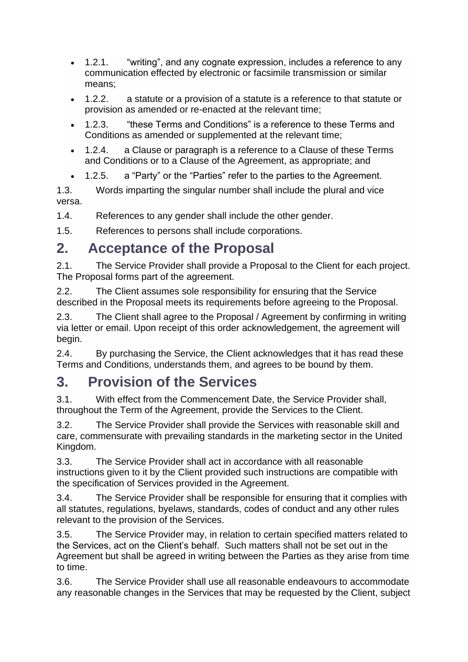- 1.2.1. "writing", and any cognate expression, includes a reference to any communication effected by electronic or facsimile transmission or similar means;
- 1.2.2. a statute or a provision of a statute is a reference to that statute or provision as amended or re-enacted at the relevant time;
- 1.2.3. "these Terms and Conditions" is a reference to these Terms and Conditions as amended or supplemented at the relevant time;
- 1.2.4. a Clause or paragraph is a reference to a Clause of these Terms and Conditions or to a Clause of the Agreement, as appropriate; and
- 1.2.5. a "Party" or the "Parties" refer to the parties to the Agreement.
- 1.3. Words imparting the singular number shall include the plural and vice versa.

1.4. References to any gender shall include the other gender.

1.5. References to persons shall include corporations.

#### **2. Acceptance of the Proposal**

2.1. The Service Provider shall provide a Proposal to the Client for each project. The Proposal forms part of the agreement.

2.2. The Client assumes sole responsibility for ensuring that the Service described in the Proposal meets its requirements before agreeing to the Proposal.

2.3. The Client shall agree to the Proposal / Agreement by confirming in writing via letter or email. Upon receipt of this order acknowledgement, the agreement will begin.

2.4. By purchasing the Service, the Client acknowledges that it has read these Terms and Conditions, understands them, and agrees to be bound by them.

#### **3. Provision of the Services**

3.1. With effect from the Commencement Date, the Service Provider shall, throughout the Term of the Agreement, provide the Services to the Client.

3.2. The Service Provider shall provide the Services with reasonable skill and care, commensurate with prevailing standards in the marketing sector in the United Kingdom.

3.3. The Service Provider shall act in accordance with all reasonable instructions given to it by the Client provided such instructions are compatible with the specification of Services provided in the Agreement.

3.4. The Service Provider shall be responsible for ensuring that it complies with all statutes, regulations, byelaws, standards, codes of conduct and any other rules relevant to the provision of the Services.

3.5. The Service Provider may, in relation to certain specified matters related to the Services, act on the Client's behalf. Such matters shall not be set out in the Agreement but shall be agreed in writing between the Parties as they arise from time to time.

3.6. The Service Provider shall use all reasonable endeavours to accommodate any reasonable changes in the Services that may be requested by the Client, subject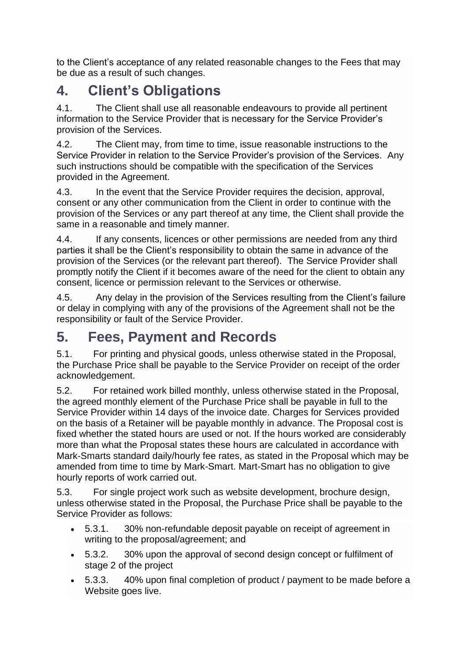to the Client's acceptance of any related reasonable changes to the Fees that may be due as a result of such changes.

## **4. Client's Obligations**

4.1. The Client shall use all reasonable endeavours to provide all pertinent information to the Service Provider that is necessary for the Service Provider's provision of the Services.

4.2. The Client may, from time to time, issue reasonable instructions to the Service Provider in relation to the Service Provider's provision of the Services. Any such instructions should be compatible with the specification of the Services provided in the Agreement.

4.3. In the event that the Service Provider requires the decision, approval, consent or any other communication from the Client in order to continue with the provision of the Services or any part thereof at any time, the Client shall provide the same in a reasonable and timely manner.

4.4. If any consents, licences or other permissions are needed from any third parties it shall be the Client's responsibility to obtain the same in advance of the provision of the Services (or the relevant part thereof). The Service Provider shall promptly notify the Client if it becomes aware of the need for the client to obtain any consent, licence or permission relevant to the Services or otherwise.

4.5. Any delay in the provision of the Services resulting from the Client's failure or delay in complying with any of the provisions of the Agreement shall not be the responsibility or fault of the Service Provider.

## **5. Fees, Payment and Records**

5.1. For printing and physical goods, unless otherwise stated in the Proposal, the Purchase Price shall be payable to the Service Provider on receipt of the order acknowledgement.

5.2. For retained work billed monthly, unless otherwise stated in the Proposal, the agreed monthly element of the Purchase Price shall be payable in full to the Service Provider within 14 days of the invoice date. Charges for Services provided on the basis of a Retainer will be payable monthly in advance. The Proposal cost is fixed whether the stated hours are used or not. If the hours worked are considerably more than what the Proposal states these hours are calculated in accordance with Mark-Smarts standard daily/hourly fee rates, as stated in the Proposal which may be amended from time to time by Mark-Smart. Mart-Smart has no obligation to give hourly reports of work carried out.

5.3. For single project work such as website development, brochure design, unless otherwise stated in the Proposal, the Purchase Price shall be payable to the Service Provider as follows:

- 5.3.1. 30% non-refundable deposit payable on receipt of agreement in writing to the proposal/agreement; and
- 5.3.2. 30% upon the approval of second design concept or fulfilment of stage 2 of the project
- 5.3.3. 40% upon final completion of product / payment to be made before a Website goes live.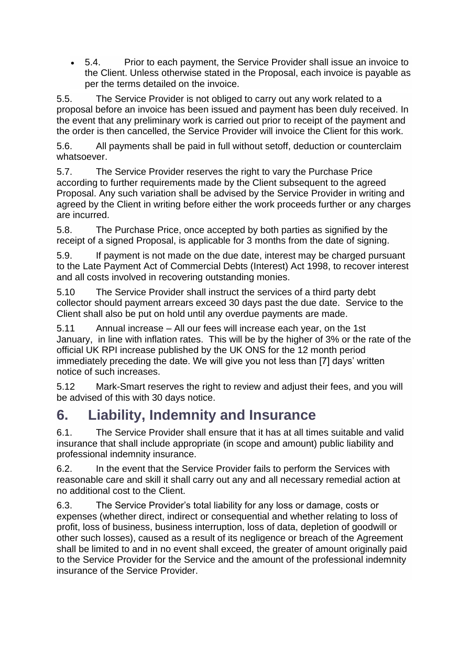• 5.4. Prior to each payment, the Service Provider shall issue an invoice to the Client. Unless otherwise stated in the Proposal, each invoice is payable as per the terms detailed on the invoice.

5.5. The Service Provider is not obliged to carry out any work related to a proposal before an invoice has been issued and payment has been duly received. In the event that any preliminary work is carried out prior to receipt of the payment and the order is then cancelled, the Service Provider will invoice the Client for this work.

5.6. All payments shall be paid in full without setoff, deduction or counterclaim whatsoever.

5.7. The Service Provider reserves the right to vary the Purchase Price according to further requirements made by the Client subsequent to the agreed Proposal. Any such variation shall be advised by the Service Provider in writing and agreed by the Client in writing before either the work proceeds further or any charges are incurred.

5.8. The Purchase Price, once accepted by both parties as signified by the receipt of a signed Proposal, is applicable for 3 months from the date of signing.

5.9. If payment is not made on the due date, interest may be charged pursuant to the Late Payment Act of Commercial Debts (Interest) Act 1998, to recover interest and all costs involved in recovering outstanding monies.

5.10 The Service Provider shall instruct the services of a third party debt collector should payment arrears exceed 30 days past the due date. Service to the Client shall also be put on hold until any overdue payments are made.

5.11 Annual increase – All our fees will increase each year, on the 1st January, in line with inflation rates. This will be by the higher of 3% or the rate of the official UK RPI increase published by the UK ONS for the 12 month period immediately preceding the date. We will give you not less than [7] days' written notice of such increases.

5.12 Mark-Smart reserves the right to review and adjust their fees, and you will be advised of this with 30 days notice.

## **6. Liability, Indemnity and Insurance**

6.1. The Service Provider shall ensure that it has at all times suitable and valid insurance that shall include appropriate (in scope and amount) public liability and professional indemnity insurance.

6.2. In the event that the Service Provider fails to perform the Services with reasonable care and skill it shall carry out any and all necessary remedial action at no additional cost to the Client.

6.3. The Service Provider's total liability for any loss or damage, costs or expenses (whether direct, indirect or consequential and whether relating to loss of profit, loss of business, business interruption, loss of data, depletion of goodwill or other such losses), caused as a result of its negligence or breach of the Agreement shall be limited to and in no event shall exceed, the greater of amount originally paid to the Service Provider for the Service and the amount of the professional indemnity insurance of the Service Provider.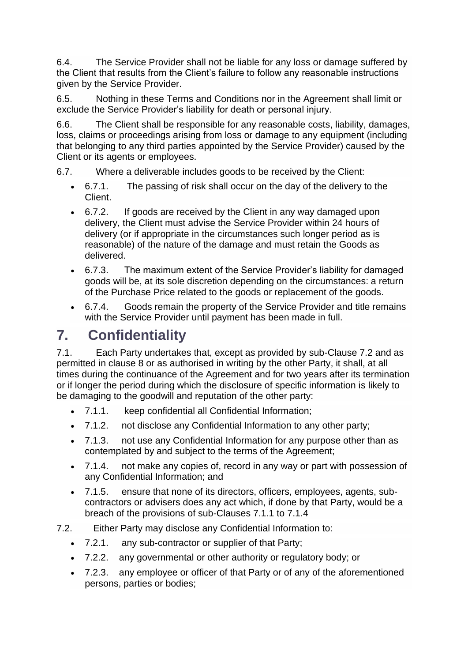6.4. The Service Provider shall not be liable for any loss or damage suffered by the Client that results from the Client's failure to follow any reasonable instructions given by the Service Provider.

6.5. Nothing in these Terms and Conditions nor in the Agreement shall limit or exclude the Service Provider's liability for death or personal injury.

6.6. The Client shall be responsible for any reasonable costs, liability, damages, loss, claims or proceedings arising from loss or damage to any equipment (including that belonging to any third parties appointed by the Service Provider) caused by the Client or its agents or employees.

6.7. Where a deliverable includes goods to be received by the Client:

- 6.7.1. The passing of risk shall occur on the day of the delivery to the Client.
- 6.7.2. If goods are received by the Client in any way damaged upon delivery, the Client must advise the Service Provider within 24 hours of delivery (or if appropriate in the circumstances such longer period as is reasonable) of the nature of the damage and must retain the Goods as delivered.
- 6.7.3. The maximum extent of the Service Provider's liability for damaged goods will be, at its sole discretion depending on the circumstances: a return of the Purchase Price related to the goods or replacement of the goods.
- 6.7.4. Goods remain the property of the Service Provider and title remains with the Service Provider until payment has been made in full.

# **7. Confidentiality**

7.1. Each Party undertakes that, except as provided by sub-Clause 7.2 and as permitted in clause 8 or as authorised in writing by the other Party, it shall, at all times during the continuance of the Agreement and for two years after its termination or if longer the period during which the disclosure of specific information is likely to be damaging to the goodwill and reputation of the other party:

- 7.1.1. keep confidential all Confidential Information;
- 7.1.2. not disclose any Confidential Information to any other party;
- 7.1.3. not use any Confidential Information for any purpose other than as contemplated by and subject to the terms of the Agreement;
- 7.1.4. not make any copies of, record in any way or part with possession of any Confidential Information; and
- 7.1.5. ensure that none of its directors, officers, employees, agents, subcontractors or advisers does any act which, if done by that Party, would be a breach of the provisions of sub-Clauses 7.1.1 to 7.1.4
- 7.2. Either Party may disclose any Confidential Information to:
	- 7.2.1. any sub-contractor or supplier of that Party;
	- 7.2.2. any governmental or other authority or regulatory body; or
	- 7.2.3. any employee or officer of that Party or of any of the aforementioned persons, parties or bodies;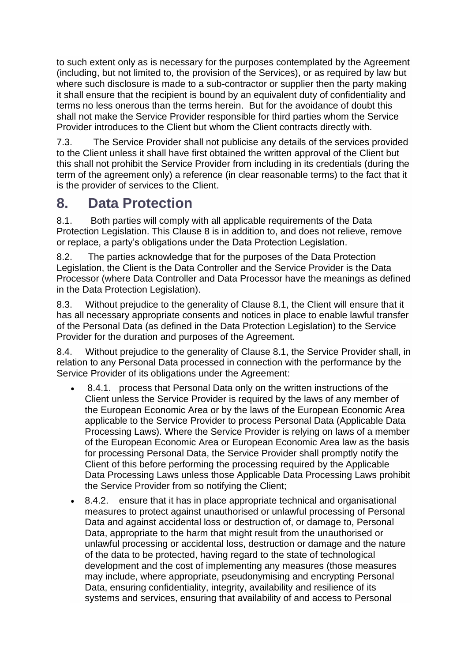to such extent only as is necessary for the purposes contemplated by the Agreement (including, but not limited to, the provision of the Services), or as required by law but where such disclosure is made to a sub-contractor or supplier then the party making it shall ensure that the recipient is bound by an equivalent duty of confidentiality and terms no less onerous than the terms herein. But for the avoidance of doubt this shall not make the Service Provider responsible for third parties whom the Service Provider introduces to the Client but whom the Client contracts directly with.

7.3. The Service Provider shall not publicise any details of the services provided to the Client unless it shall have first obtained the written approval of the Client but this shall not prohibit the Service Provider from including in its credentials (during the term of the agreement only) a reference (in clear reasonable terms) to the fact that it is the provider of services to the Client.

#### **8. Data Protection**

8.1. Both parties will comply with all applicable requirements of the Data Protection Legislation. This Clause 8 is in addition to, and does not relieve, remove or replace, a party's obligations under the Data Protection Legislation.

8.2. The parties acknowledge that for the purposes of the Data Protection Legislation, the Client is the Data Controller and the Service Provider is the Data Processor (where Data Controller and Data Processor have the meanings as defined in the Data Protection Legislation).

8.3. Without prejudice to the generality of Clause 8.1, the Client will ensure that it has all necessary appropriate consents and notices in place to enable lawful transfer of the Personal Data (as defined in the Data Protection Legislation) to the Service Provider for the duration and purposes of the Agreement.

8.4. Without prejudice to the generality of Clause 8.1, the Service Provider shall, in relation to any Personal Data processed in connection with the performance by the Service Provider of its obligations under the Agreement:

- 8.4.1. process that Personal Data only on the written instructions of the Client unless the Service Provider is required by the laws of any member of the European Economic Area or by the laws of the European Economic Area applicable to the Service Provider to process Personal Data (Applicable Data Processing Laws). Where the Service Provider is relying on laws of a member of the European Economic Area or European Economic Area law as the basis for processing Personal Data, the Service Provider shall promptly notify the Client of this before performing the processing required by the Applicable Data Processing Laws unless those Applicable Data Processing Laws prohibit the Service Provider from so notifying the Client;
- 8.4.2. ensure that it has in place appropriate technical and organisational measures to protect against unauthorised or unlawful processing of Personal Data and against accidental loss or destruction of, or damage to, Personal Data, appropriate to the harm that might result from the unauthorised or unlawful processing or accidental loss, destruction or damage and the nature of the data to be protected, having regard to the state of technological development and the cost of implementing any measures (those measures may include, where appropriate, pseudonymising and encrypting Personal Data, ensuring confidentiality, integrity, availability and resilience of its systems and services, ensuring that availability of and access to Personal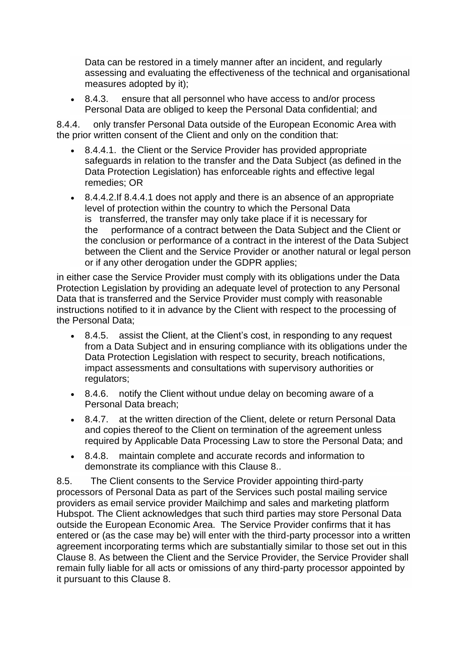Data can be restored in a timely manner after an incident, and regularly assessing and evaluating the effectiveness of the technical and organisational measures adopted by it);

• 8.4.3. ensure that all personnel who have access to and/or process Personal Data are obliged to keep the Personal Data confidential; and

8.4.4. only transfer Personal Data outside of the European Economic Area with the prior written consent of the Client and only on the condition that:

- 8.4.4.1. the Client or the Service Provider has provided appropriate safeguards in relation to the transfer and the Data Subject (as defined in the Data Protection Legislation) has enforceable rights and effective legal remedies; OR
- 8.4.4.2.If 8.4.4.1 does not apply and there is an absence of an appropriate level of protection within the country to which the Personal Data is transferred, the transfer may only take place if it is necessary for the performance of a contract between the Data Subject and the Client or the conclusion or performance of a contract in the interest of the Data Subject between the Client and the Service Provider or another natural or legal person or if any other derogation under the GDPR applies;

in either case the Service Provider must comply with its obligations under the Data Protection Legislation by providing an adequate level of protection to any Personal Data that is transferred and the Service Provider must comply with reasonable instructions notified to it in advance by the Client with respect to the processing of the Personal Data;

- 8.4.5. assist the Client, at the Client's cost, in responding to any request from a Data Subject and in ensuring compliance with its obligations under the Data Protection Legislation with respect to security, breach notifications, impact assessments and consultations with supervisory authorities or regulators;
- 8.4.6. notify the Client without undue delay on becoming aware of a Personal Data breach;
- 8.4.7. at the written direction of the Client, delete or return Personal Data and copies thereof to the Client on termination of the agreement unless required by Applicable Data Processing Law to store the Personal Data; and
- 8.4.8. maintain complete and accurate records and information to demonstrate its compliance with this Clause 8..

8.5. The Client consents to the Service Provider appointing third-party processors of Personal Data as part of the Services such postal mailing service providers as email service provider Mailchimp and sales and marketing platform Hubspot. The Client acknowledges that such third parties may store Personal Data outside the European Economic Area. The Service Provider confirms that it has entered or (as the case may be) will enter with the third-party processor into a written agreement incorporating terms which are substantially similar to those set out in this Clause 8. As between the Client and the Service Provider, the Service Provider shall remain fully liable for all acts or omissions of any third-party processor appointed by it pursuant to this Clause 8.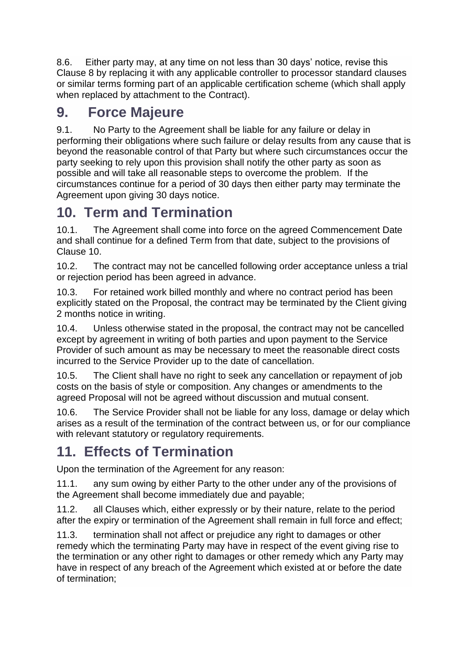8.6. Either party may, at any time on not less than 30 days' notice, revise this Clause 8 by replacing it with any applicable controller to processor standard clauses or similar terms forming part of an applicable certification scheme (which shall apply when replaced by attachment to the Contract).

#### **9. Force Majeure**

9.1. No Party to the Agreement shall be liable for any failure or delay in performing their obligations where such failure or delay results from any cause that is beyond the reasonable control of that Party but where such circumstances occur the party seeking to rely upon this provision shall notify the other party as soon as possible and will take all reasonable steps to overcome the problem. If the circumstances continue for a period of 30 days then either party may terminate the Agreement upon giving 30 days notice.

#### **10. Term and Termination**

10.1. The Agreement shall come into force on the agreed Commencement Date and shall continue for a defined Term from that date, subject to the provisions of Clause 10.

10.2. The contract may not be cancelled following order acceptance unless a trial or rejection period has been agreed in advance.

10.3. For retained work billed monthly and where no contract period has been explicitly stated on the Proposal, the contract may be terminated by the Client giving 2 months notice in writing.

10.4. Unless otherwise stated in the proposal, the contract may not be cancelled except by agreement in writing of both parties and upon payment to the Service Provider of such amount as may be necessary to meet the reasonable direct costs incurred to the Service Provider up to the date of cancellation.

10.5. The Client shall have no right to seek any cancellation or repayment of job costs on the basis of style or composition. Any changes or amendments to the agreed Proposal will not be agreed without discussion and mutual consent.

10.6. The Service Provider shall not be liable for any loss, damage or delay which arises as a result of the termination of the contract between us, or for our compliance with relevant statutory or regulatory requirements.

## **11. Effects of Termination**

Upon the termination of the Agreement for any reason:

11.1. any sum owing by either Party to the other under any of the provisions of the Agreement shall become immediately due and payable;

11.2. all Clauses which, either expressly or by their nature, relate to the period after the expiry or termination of the Agreement shall remain in full force and effect;

11.3. termination shall not affect or prejudice any right to damages or other remedy which the terminating Party may have in respect of the event giving rise to the termination or any other right to damages or other remedy which any Party may have in respect of any breach of the Agreement which existed at or before the date of termination;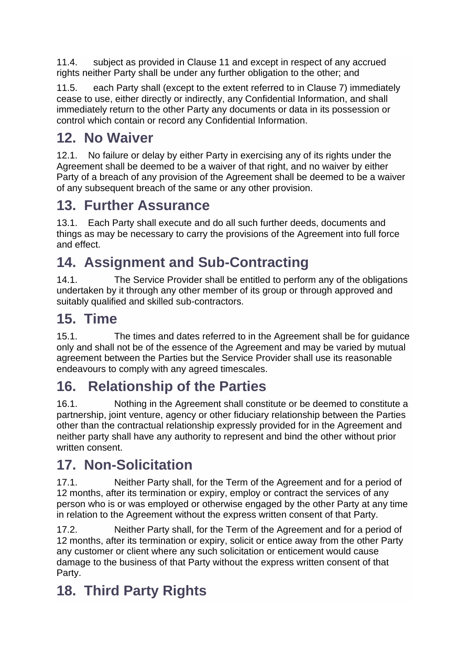11.4. subject as provided in Clause 11 and except in respect of any accrued rights neither Party shall be under any further obligation to the other; and

11.5. each Party shall (except to the extent referred to in Clause 7) immediately cease to use, either directly or indirectly, any Confidential Information, and shall immediately return to the other Party any documents or data in its possession or control which contain or record any Confidential Information.

## **12. No Waiver**

12.1. No failure or delay by either Party in exercising any of its rights under the Agreement shall be deemed to be a waiver of that right, and no waiver by either Party of a breach of any provision of the Agreement shall be deemed to be a waiver of any subsequent breach of the same or any other provision.

#### **13. Further Assurance**

13.1. Each Party shall execute and do all such further deeds, documents and things as may be necessary to carry the provisions of the Agreement into full force and effect.

## **14. Assignment and Sub-Contracting**

14.1. The Service Provider shall be entitled to perform any of the obligations undertaken by it through any other member of its group or through approved and suitably qualified and skilled sub-contractors.

## **15. Time**

15.1. The times and dates referred to in the Agreement shall be for guidance only and shall not be of the essence of the Agreement and may be varied by mutual agreement between the Parties but the Service Provider shall use its reasonable endeavours to comply with any agreed timescales.

## **16. Relationship of the Parties**

16.1. Nothing in the Agreement shall constitute or be deemed to constitute a partnership, joint venture, agency or other fiduciary relationship between the Parties other than the contractual relationship expressly provided for in the Agreement and neither party shall have any authority to represent and bind the other without prior written consent.

## **17. Non-Solicitation**

17.1. Neither Party shall, for the Term of the Agreement and for a period of 12 months, after its termination or expiry, employ or contract the services of any person who is or was employed or otherwise engaged by the other Party at any time in relation to the Agreement without the express written consent of that Party.

17.2. Neither Party shall, for the Term of the Agreement and for a period of 12 months, after its termination or expiry, solicit or entice away from the other Party any customer or client where any such solicitation or enticement would cause damage to the business of that Party without the express written consent of that Party.

# **18. Third Party Rights**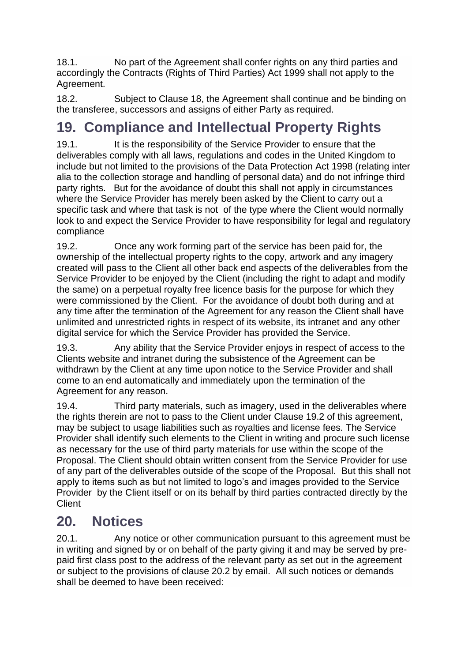18.1. No part of the Agreement shall confer rights on any third parties and accordingly the Contracts (Rights of Third Parties) Act 1999 shall not apply to the Agreement.

18.2. Subject to Clause 18, the Agreement shall continue and be binding on the transferee, successors and assigns of either Party as required.

## **19. Compliance and Intellectual Property Rights**

19.1. It is the responsibility of the Service Provider to ensure that the deliverables comply with all laws, regulations and codes in the United Kingdom to include but not limited to the provisions of the Data Protection Act 1998 (relating inter alia to the collection storage and handling of personal data) and do not infringe third party rights. But for the avoidance of doubt this shall not apply in circumstances where the Service Provider has merely been asked by the Client to carry out a specific task and where that task is not of the type where the Client would normally look to and expect the Service Provider to have responsibility for legal and regulatory compliance

19.2. Once any work forming part of the service has been paid for, the ownership of the intellectual property rights to the copy, artwork and any imagery created will pass to the Client all other back end aspects of the deliverables from the Service Provider to be enjoyed by the Client (including the right to adapt and modify the same) on a perpetual royalty free licence basis for the purpose for which they were commissioned by the Client. For the avoidance of doubt both during and at any time after the termination of the Agreement for any reason the Client shall have unlimited and unrestricted rights in respect of its website, its intranet and any other digital service for which the Service Provider has provided the Service.

19.3. Any ability that the Service Provider enjoys in respect of access to the Clients website and intranet during the subsistence of the Agreement can be withdrawn by the Client at any time upon notice to the Service Provider and shall come to an end automatically and immediately upon the termination of the Agreement for any reason.

19.4. Third party materials, such as imagery, used in the deliverables where the rights therein are not to pass to the Client under Clause 19.2 of this agreement, may be subject to usage liabilities such as royalties and license fees. The Service Provider shall identify such elements to the Client in writing and procure such license as necessary for the use of third party materials for use within the scope of the Proposal. The Client should obtain written consent from the Service Provider for use of any part of the deliverables outside of the scope of the Proposal. But this shall not apply to items such as but not limited to logo's and images provided to the Service Provider by the Client itself or on its behalf by third parties contracted directly by the **Client** 

## **20. Notices**

20.1. Any notice or other communication pursuant to this agreement must be in writing and signed by or on behalf of the party giving it and may be served by prepaid first class post to the address of the relevant party as set out in the agreement or subject to the provisions of clause 20.2 by email. All such notices or demands shall be deemed to have been received: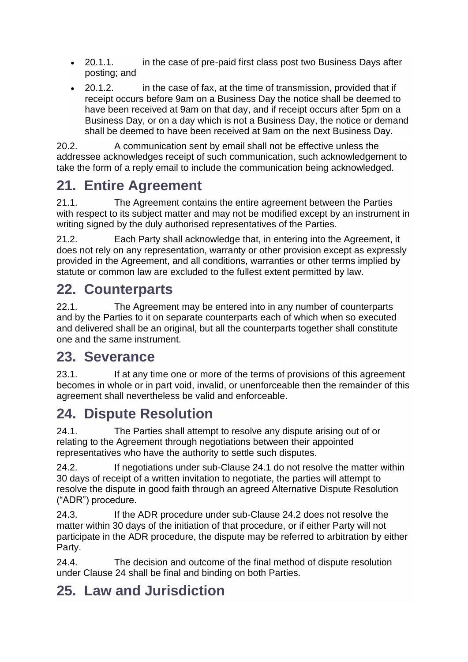- 20.1.1. in the case of pre-paid first class post two Business Days after posting; and
- 20.1.2. in the case of fax, at the time of transmission, provided that if receipt occurs before 9am on a Business Day the notice shall be deemed to have been received at 9am on that day, and if receipt occurs after 5pm on a Business Day, or on a day which is not a Business Day, the notice or demand shall be deemed to have been received at 9am on the next Business Day.

20.2. A communication sent by email shall not be effective unless the addressee acknowledges receipt of such communication, such acknowledgement to take the form of a reply email to include the communication being acknowledged.

## **21. Entire Agreement**

21.1. The Agreement contains the entire agreement between the Parties with respect to its subject matter and may not be modified except by an instrument in writing signed by the duly authorised representatives of the Parties.

21.2. Each Party shall acknowledge that, in entering into the Agreement, it does not rely on any representation, warranty or other provision except as expressly provided in the Agreement, and all conditions, warranties or other terms implied by statute or common law are excluded to the fullest extent permitted by law.

## **22. Counterparts**

22.1. The Agreement may be entered into in any number of counterparts and by the Parties to it on separate counterparts each of which when so executed and delivered shall be an original, but all the counterparts together shall constitute one and the same instrument.

#### **23. Severance**

23.1. If at any time one or more of the terms of provisions of this agreement becomes in whole or in part void, invalid, or unenforceable then the remainder of this agreement shall nevertheless be valid and enforceable.

# **24. Dispute Resolution**

24.1. The Parties shall attempt to resolve any dispute arising out of or relating to the Agreement through negotiations between their appointed representatives who have the authority to settle such disputes.

24.2. If negotiations under sub-Clause 24.1 do not resolve the matter within 30 days of receipt of a written invitation to negotiate, the parties will attempt to resolve the dispute in good faith through an agreed Alternative Dispute Resolution ("ADR") procedure.

24.3. If the ADR procedure under sub-Clause 24.2 does not resolve the matter within 30 days of the initiation of that procedure, or if either Party will not participate in the ADR procedure, the dispute may be referred to arbitration by either Party.

24.4. The decision and outcome of the final method of dispute resolution under Clause 24 shall be final and binding on both Parties.

## **25. Law and Jurisdiction**